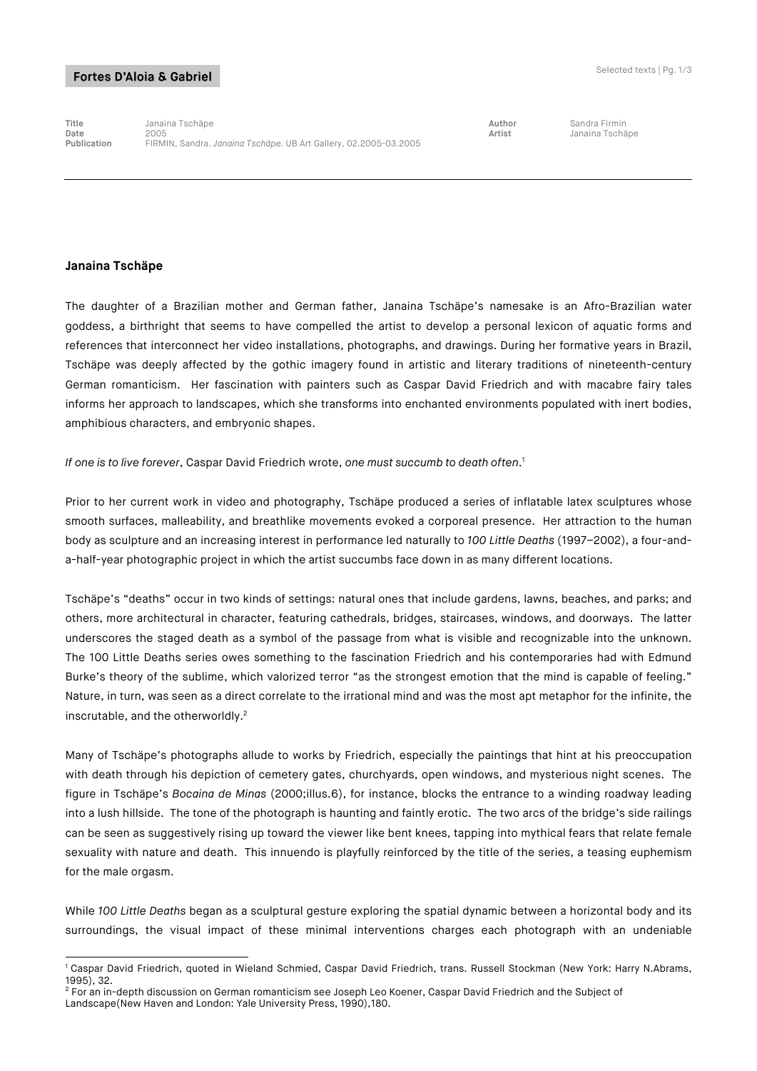## Fortes D'Aloia & Gabriel

**Title** Janaina Tschäpe **Author** Sandra Firmin **Date** 2005 **Artist** Janaina Tschäpe **Publication** FIRMIN, Sandra. *Janaina Tschäpe.* UB Art Gallery, 02.2005-03.2005

## **Janaina Tschäpe**

The daughter of a Brazilian mother and German father, Janaina Tschäpe's namesake is an Afro-Brazilian water goddess, a birthright that seems to have compelled the artist to develop a personal lexicon of aquatic forms and references that interconnect her video installations, photographs, and drawings. During her formative years in Brazil, Tschäpe was deeply affected by the gothic imagery found in artistic and literary traditions of nineteenth-century German romanticism. Her fascination with painters such as Caspar David Friedrich and with macabre fairy tales informs her approach to landscapes, which she transforms into enchanted environments populated with inert bodies, amphibious characters, and embryonic shapes.

*If one is to live forever*, Caspar David Friedrich wrote, *one must succumb to death often*. 1

Prior to her current work in video and photography, Tschäpe produced a series of inflatable latex sculptures whose smooth surfaces, malleability, and breathlike movements evoked a corporeal presence. Her attraction to the human body as sculpture and an increasing interest in performance led naturally to *100 Little Deaths* (1997–2002), a four-anda-half-year photographic project in which the artist succumbs face down in as many different locations.

Tschäpe's "deaths" occur in two kinds of settings: natural ones that include gardens, lawns, beaches, and parks; and others, more architectural in character, featuring cathedrals, bridges, staircases, windows, and doorways. The latter underscores the staged death as a symbol of the passage from what is visible and recognizable into the unknown. The 100 Little Deaths series owes something to the fascination Friedrich and his contemporaries had with Edmund Burke's theory of the sublime, which valorized terror "as the strongest emotion that the mind is capable of feeling." Nature, in turn, was seen as a direct correlate to the irrational mind and was the most apt metaphor for the infinite, the inscrutable, and the otherworldly.<sup>2</sup>

Many of Tschäpe's photographs allude to works by Friedrich, especially the paintings that hint at his preoccupation with death through his depiction of cemetery gates, churchyards, open windows, and mysterious night scenes. The figure in Tschäpe's *Bocaina de Minas* (2000;illus.6), for instance, blocks the entrance to a winding roadway leading into a lush hillside. The tone of the photograph is haunting and faintly erotic. The two arcs of the bridge's side railings can be seen as suggestively rising up toward the viewer like bent knees, tapping into mythical fears that relate female sexuality with nature and death. This innuendo is playfully reinforced by the title of the series, a teasing euphemism for the male orgasm.

While *100 Little Deaths* began as a sculptural gesture exploring the spatial dynamic between a horizontal body and its surroundings, the visual impact of these minimal interventions charges each photograph with an undeniable

<sup>2</sup> For an in-depth discussion on German romanticism see Joseph Leo Koener, Caspar David Friedrich and the Subject of

-

<sup>1</sup> Caspar David Friedrich, quoted in Wieland Schmied, Caspar David Friedrich, trans. Russell Stockman (New York: Harry N.Abrams, 1995), 32.

Landscape(New Haven and London: Yale University Press, 1990),180.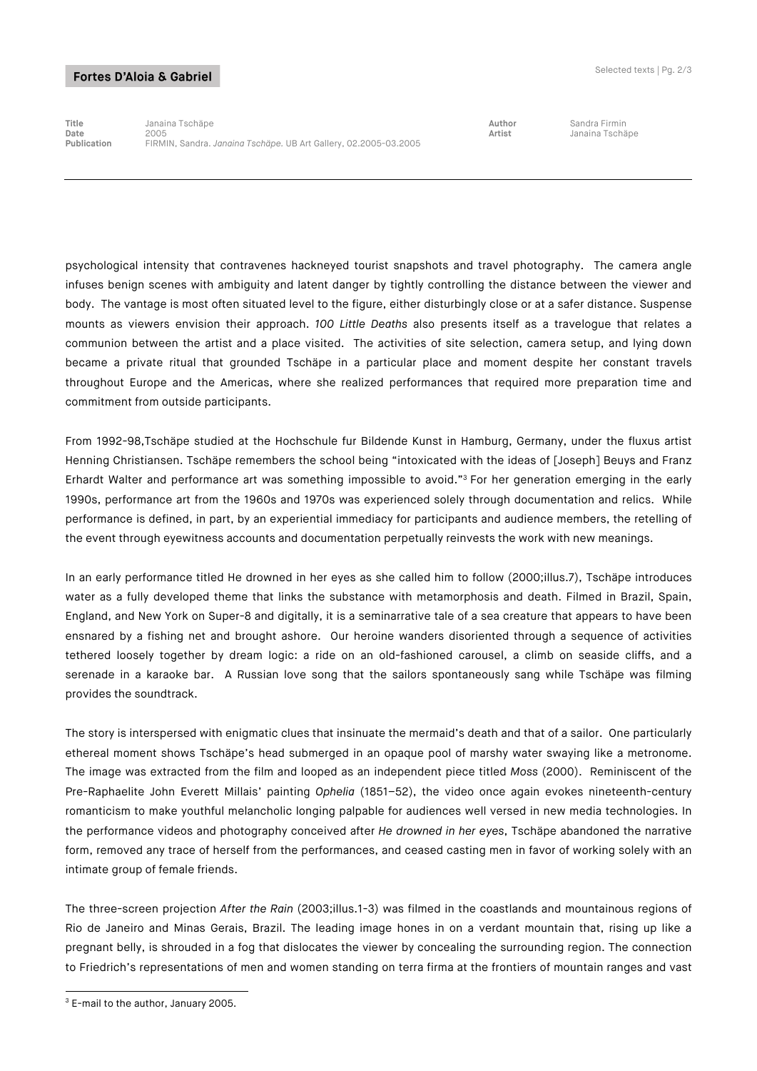## Fortes D'Aloia & Gabriel

**Title** Janaina Tschäpe **Author** Sandra Firmin **Date** 2005 **Artist** Janaina Tschäpe **Publication** FIRMIN, Sandra. *Janaina Tschäpe.* UB Art Gallery, 02.2005-03.2005

psychological intensity that contravenes hackneyed tourist snapshots and travel photography. The camera angle infuses benign scenes with ambiguity and latent danger by tightly controlling the distance between the viewer and body. The vantage is most often situated level to the figure, either disturbingly close or at a safer distance. Suspense mounts as viewers envision their approach. *100 Little Deaths* also presents itself as a travelogue that relates a communion between the artist and a place visited. The activities of site selection, camera setup, and lying down became a private ritual that grounded Tschäpe in a particular place and moment despite her constant travels throughout Europe and the Americas, where she realized performances that required more preparation time and commitment from outside participants.

From 1992-98,Tschäpe studied at the Hochschule fur Bildende Kunst in Hamburg, Germany, under the fluxus artist Henning Christiansen. Tschäpe remembers the school being "intoxicated with the ideas of [Joseph] Beuys and Franz Erhardt Walter and performance art was something impossible to avoid."3 For her generation emerging in the early 1990s, performance art from the 1960s and 1970s was experienced solely through documentation and relics. While performance is defined, in part, by an experiential immediacy for participants and audience members, the retelling of the event through eyewitness accounts and documentation perpetually reinvests the work with new meanings.

In an early performance titled He drowned in her eyes as she called him to follow (2000;illus.7), Tschäpe introduces water as a fully developed theme that links the substance with metamorphosis and death. Filmed in Brazil, Spain, England, and New York on Super-8 and digitally, it is a seminarrative tale of a sea creature that appears to have been ensnared by a fishing net and brought ashore. Our heroine wanders disoriented through a sequence of activities tethered loosely together by dream logic: a ride on an old-fashioned carousel, a climb on seaside cliffs, and a serenade in a karaoke bar. A Russian love song that the sailors spontaneously sang while Tschäpe was filming provides the soundtrack.

The story is interspersed with enigmatic clues that insinuate the mermaid's death and that of a sailor. One particularly ethereal moment shows Tschäpe's head submerged in an opaque pool of marshy water swaying like a metronome. The image was extracted from the film and looped as an independent piece titled *Moss* (2000). Reminiscent of the Pre-Raphaelite John Everett Millais' painting *Ophelia* (1851–52), the video once again evokes nineteenth-century romanticism to make youthful melancholic longing palpable for audiences well versed in new media technologies. In the performance videos and photography conceived after *He drowned in her eyes*, Tschäpe abandoned the narrative form, removed any trace of herself from the performances, and ceased casting men in favor of working solely with an intimate group of female friends.

The three-screen projection *After the Rain* (2003;illus.1-3) was filmed in the coastlands and mountainous regions of Rio de Janeiro and Minas Gerais, Brazil. The leading image hones in on a verdant mountain that, rising up like a pregnant belly, is shrouded in a fog that dislocates the viewer by concealing the surrounding region. The connection to Friedrich's representations of men and women standing on terra firma at the frontiers of mountain ranges and vast

<sup>-</sup><sup>3</sup> E-mail to the author, January 2005.